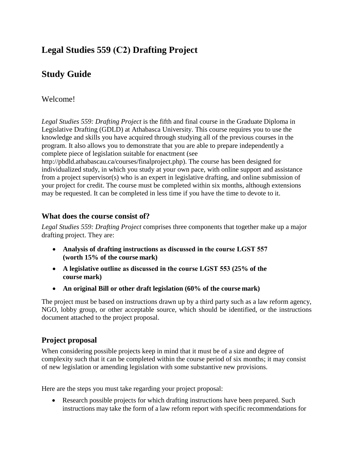# **Legal Studies 559 (C2) Drafting Project**

# **Study Guide**

### Welcome!

*Legal Studies 559: Drafting Project* is the fifth and final course in the Graduate Diploma in Legislative Drafting (GDLD) at Athabasca University. This course requires you to use the knowledge and skills you have acquired through studying all of the previous courses in the program. It also allows you to demonstrate that you are able to prepare independently a complete piece of legislation suitable for enactment (see

http://pbdld.athabascau.ca/courses/finalproject.php). The course has been designed for individualized study, in which you study at your own pace, with online support and assistance from a project supervisor(s) who is an expert in legislative drafting, and online submission of your project for credit. The course must be completed within six months, although extensions may be requested. It can be completed in less time if you have the time to devote to it.

#### **What does the course consist of?**

*Legal Studies 559: Drafting Project* comprises three components that together make up a major drafting project. They are:

- **Analysis of drafting instructions as discussed in the course LGST 557 (worth 15% of the course mark)**
- **A legislative outline as discussed in the course LGST 553 (25% of the course mark)**
- **An original Bill or other draft legislation (60% of the course mark)**

The project must be based on instructions drawn up by a third party such as a law reform agency, NGO, lobby group, or other acceptable source, which should be identified, or the instructions document attached to the project proposal.

#### **Project proposal**

When considering possible projects keep in mind that it must be of a size and degree of complexity such that it can be completed within the course period of six months; it may consist of new legislation or amending legislation with some substantive new provisions.

Here are the steps you must take regarding your project proposal:

• Research possible projects for which drafting instructions have been prepared. Such instructions may take the form of a law reform report with specific recommendations for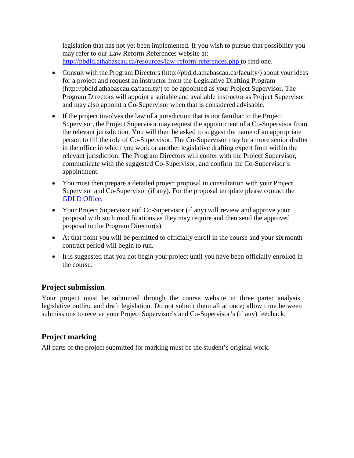legislation that has not yet been implemented. If you wish to pursue that possibility you may refer to our Law Reform References website at: [http://pbdld.athabascau.ca/resources/law-reform-references.php t](http://pbdld.athabascau.ca/resources/law-reform-references.php)o find one.

- Consult with the Program Directors [\(http://pbdld.athabascau.ca/faculty/\)](http://pbdld.athabascau.ca/faculty/)) about your ideas for a project and request an instructor from the Legislative Drafting Program [\(http://pbdld.athabascau.ca/faculty/\) t](http://pbdld.athabascau.ca/faculty/))o be appointed as your Project Supervisor. The Program Directors will appoint a suitable and available instructor as Project Supervisor and may also appoint a Co-Supervisor when that is considered advisable.
- If the project involves the law of a jurisdiction that is not familiar to the Project Supervisor, the Project Supervisor may request the appointment of a Co-Supervisor from the relevant jurisdiction. You will then be asked to suggest the name of an appropriate person to fill the role of Co-Supervisor. The Co-Supervisor may be a more senior drafter in the office in which you work or another legislative drafting expert from within the relevant jurisdiction. The Program Directors will confer with the Project Supervisor, communicate with the suggested Co-Supervisor, and confirm the Co-Supervisor's appointment.
- You must then prepare a detailed project proposal in consultation with your Project Supervisor and Co-Supervisor (if any). For the proposal template please contact th[e](mailto:gdld@athabascau.ca) GDLD [Office.](mailto:gdld@athabascau.ca)
- Your Project Supervisor and Co-Supervisor (if any) will review and approve your proposal with such modifications as they may require and then send the approved proposal to the Program Director(s).
- At that point you will be permitted to officially enroll in the course and your six month contract period will begin to run.
- It is suggested that you not begin your project until you have been officially enrolled in the course.

#### **Project submission**

Your project must be submitted through the course website in three parts: analysis, legislative outline and draft legislation. Do not submit them all at once; allow time between submissions to receive your Project Supervisor's and Co-Supervisor's (if any) feedback.

### **Project marking**

All parts of the project submitted for marking must be the student's original work.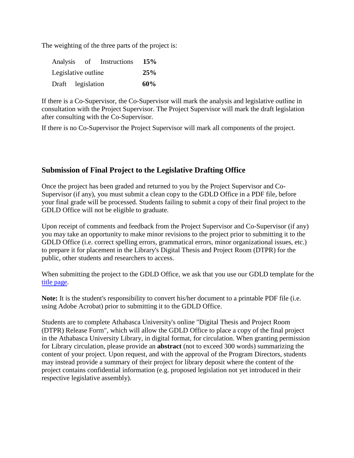The weighting of the three parts of the project is:

| Analysis of Instructions |  |  |  |  |  | 15% |  |  |
|--------------------------|--|--|--|--|--|-----|--|--|
| Legislative outline      |  |  |  |  |  | 25% |  |  |
| Draft legislation        |  |  |  |  |  | 60% |  |  |

If there is a Co-Supervisor, the Co-Supervisor will mark the analysis and legislative outline in consultation with the Project Supervisor. The Project Supervisor will mark the draft legislation after consulting with the Co-Supervisor.

If there is no Co-Supervisor the Project Supervisor will mark all components of the project.

#### **Submission of Final Project to the Legislative Drafting Office**

Once the project has been graded and returned to you by the Project Supervisor and Co-Supervisor (if any), you must submit a clean copy to the GDLD Office in a PDF file, before your final grade will be processed. Students failing to submit a copy of their final project to the GDLD Office will not be eligible to graduate.

Upon receipt of comments and feedback from the Project Supervisor and Co-Supervisor (if any) you may take an opportunity to make minor revisions to the project prior to submitting it to the GDLD Office (i.e. correct spelling errors, grammatical errors, minor organizational issues, etc.) to prepare it for placement in the Library's Digital Thesis and Project Room (DTPR) for the public, other students and researchers to access.

When submitting the project to the GDLD Office, we ask that you use our GDLD template for the [title page.](http://pbdld.athabascau.ca/docs/PBDLDProjectTitlePageTemplate_DTPR.doc) 

**Note:** It is the student's responsibility to convert his/her document to a printable PDF file (i.e. using Adobe Acrobat) prior to submitting it to the GDLD Office.

Students are to complete Athabasca University's online "Digital Thesis and Project Room (DTPR) Release Form", which will allow the GDLD Office to place a copy of the final project in the Athabasca University Library, in digital format, for circulation. When granting permission for Library circulation, please provide an **abstract** (not to exceed 300 words) summarizing the content of your project. Upon request, and with the approval of the Program Directors, students may instead provide a summary of their project for library deposit where the content of the project contains confidential information (e.g. proposed legislation not yet introduced in their respective legislative assembly).